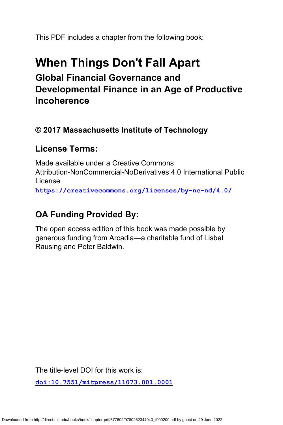This PDF includes a chapter from the following book:

# **When Things Don't Fall Apart Global Financial Governance and Developmental Finance in an Age of Productive Incoherence**

## **© 2017 Massachusetts Institute of Technology**

## **License Terms:**

Made available under a Creative Commons Attribution-NonCommercial-NoDerivatives 4.0 International Public License **<https://creativecommons.org/licenses/by-nc-nd/4.0/>**

## **OA Funding Provided By:**

The open access edition of this book was made possible by generous funding from Arcadia—a charitable fund of Lisbet Rausing and Peter Baldwin.

The title-level DOI for this work is:

**[doi:10.7551/mitpress/11073.001.0001](https://doi.org/10.7551/mitpress/11073.001.0001)**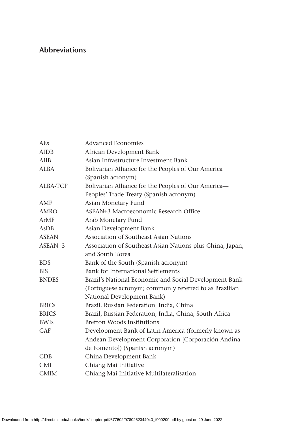### **Abbreviations**

| <b>AEs</b>      | <b>Advanced Economies</b>                                 |
|-----------------|-----------------------------------------------------------|
| <b>AfDB</b>     | African Development Bank                                  |
| AIIB            | Asian Infrastructure Investment Bank                      |
| <b>ALBA</b>     | Bolivarian Alliance for the Peoples of Our America        |
|                 | (Spanish acronym)                                         |
| <b>ALBA-TCP</b> | Bolivarian Alliance for the Peoples of Our America-       |
|                 | Peoples' Trade Treaty (Spanish acronym)                   |
| AMF             | Asian Monetary Fund                                       |
| <b>AMRO</b>     | ASEAN+3 Macroeconomic Research Office                     |
| ArMF            | Arab Monetary Fund                                        |
| AsDB            | Asian Development Bank                                    |
| <b>ASEAN</b>    | Association of Southeast Asian Nations                    |
| $ASEAN+3$       | Association of Southeast Asian Nations plus China, Japan, |
|                 | and South Korea                                           |
| <b>BDS</b>      | Bank of the South (Spanish acronym)                       |
| <b>BIS</b>      | Bank for International Settlements                        |
| <b>BNDES</b>    | Brazil's National Economic and Social Development Bank    |
|                 | (Portuguese acronym; commonly referred to as Brazilian    |
|                 | National Development Bank)                                |
| <b>BRICs</b>    | Brazil, Russian Federation, India, China                  |
| <b>BRICS</b>    | Brazil, Russian Federation, India, China, South Africa    |
| <b>BWIs</b>     | <b>Bretton Woods institutions</b>                         |
| CAF             | Development Bank of Latin America (formerly known as      |
|                 | Andean Development Corporation [Corporación Andina        |
|                 | de Fomento]) (Spanish acronym)                            |
| CDB             | China Development Bank                                    |
| <b>CMI</b>      | Chiang Mai Initiative                                     |
| <b>CMIM</b>     | Chiang Mai Initiative Multilateralisation                 |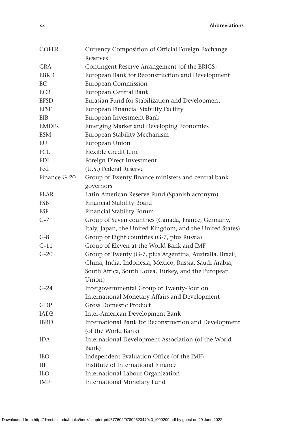**xx Abbreviations**

| <b>COFER</b> | Currency Composition of Official Foreign Exchange        |
|--------------|----------------------------------------------------------|
|              | Reserves                                                 |
| <b>CRA</b>   | Contingent Reserve Arrangement (of the BRICS)            |
| <b>EBRD</b>  | European Bank for Reconstruction and Development         |
| EС           | European Commission                                      |
| <b>ECB</b>   | European Central Bank                                    |
| <b>EFSD</b>  | Eurasian Fund for Stabilization and Development          |
| <b>EFSF</b>  | European Financial Stability Facility                    |
| EIB          | European Investment Bank                                 |
| <b>EMDES</b> | <b>Emerging Market and Developing Economies</b>          |
| ESM          | European Stability Mechanism                             |
| EU           | European Union                                           |
| FCL          | Flexible Credit Line                                     |
| <b>FDI</b>   | Foreign Direct Investment                                |
| Fed          | (U.S.) Federal Reserve                                   |
| Finance G-20 | Group of Twenty finance ministers and central bank       |
|              | governors                                                |
| <b>FLAR</b>  | Latin American Reserve Fund (Spanish acronym)            |
| <b>FSB</b>   | Financial Stability Board                                |
| <b>FSF</b>   | Financial Stability Forum                                |
| $G-7$        | Group of Seven countries (Canada, France, Germany,       |
|              | Italy, Japan, the United Kingdom, and the United States) |
| $G-8$        | Group of Eight countries (G-7, plus Russia)              |
| $G-11$       | Group of Eleven at the World Bank and IMF                |
| $G-20$       | Group of Twenty (G-7, plus Argentina, Australia, Brazil, |
|              | China, India, Indonesia, Mexico, Russia, Saudi Arabia,   |
|              | South Africa, South Korea, Turkey, and the European      |
|              | Union)                                                   |
| $G-24$       | Intergovernmental Group of Twenty-Four on                |
|              | International Monetary Affairs and Development           |
| GDP          | <b>Gross Domestic Product</b>                            |
| <b>IADB</b>  | Inter-American Development Bank                          |
| <b>IBRD</b>  | International Bank for Reconstruction and Development    |
|              | (of the World Bank)                                      |
| IDA          | International Development Association (of the World      |
|              | Bank)                                                    |
| <b>IEO</b>   | Independent Evaluation Office (of the IMF)               |
| ШF           | Institute of International Finance                       |
| ILО          | International Labour Organization                        |
| IMF          | <b>International Monetary Fund</b>                       |
|              |                                                          |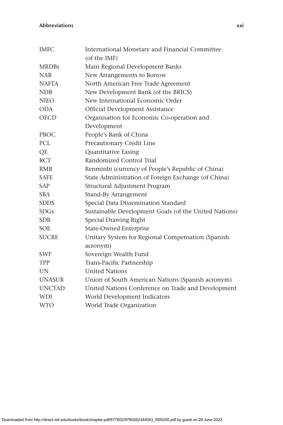#### **Abbreviations xxi**

| <b>IMFC</b>   | International Monetary and Financial Committee        |
|---------------|-------------------------------------------------------|
|               | (of the IMF)                                          |
| <b>MRDBs</b>  | Main Regional Development Banks                       |
| <b>NAB</b>    | New Arrangements to Borrow                            |
| <b>NAFTA</b>  | North American Free Trade Agreement                   |
| <b>NDB</b>    | New Development Bank (of the BRICS)                   |
| <b>NIEO</b>   | New International Economic Order                      |
| <b>ODA</b>    | Official Development Assistance                       |
| <b>OECD</b>   | Organisation for Economic Co-operation and            |
|               | Development                                           |
| PBOC          | People's Bank of China                                |
| PCL           | Precautionary Credit Line                             |
| QE            | Quantitative Easing                                   |
| <b>RCT</b>    | Randomized Control Trial                              |
| <b>RMB</b>    | Renminbi (currency of People's Republic of China)     |
| <b>SAFE</b>   | State Administration of Foreign Exchange (of China)   |
| <b>SAP</b>    | Structural Adjustment Program                         |
| <b>SBA</b>    | Stand-By Arrangement                                  |
| <b>SDDS</b>   | Special Data Dissemination Standard                   |
| SDGs          | Sustainable Development Goals (of the United Nations) |
| <b>SDR</b>    | Special Drawing Right                                 |
| <b>SOE</b>    | <b>State-Owned Enterprise</b>                         |
| <b>SUCRE</b>  | Unitary System for Regional Compensation (Spanish     |
|               | acronym)                                              |
| <b>SWF</b>    | Sovereign Wealth Fund                                 |
| <b>TPP</b>    | Trans-Pacific Partnership                             |
| <b>UN</b>     | <b>United Nations</b>                                 |
| <b>UNASUR</b> | Union of South American Nations (Spanish acronym)     |
| <b>UNCTAD</b> | United Nations Conference on Trade and Development    |
| <b>WDI</b>    | World Development Indicators                          |
| <b>WTO</b>    | World Trade Organization                              |